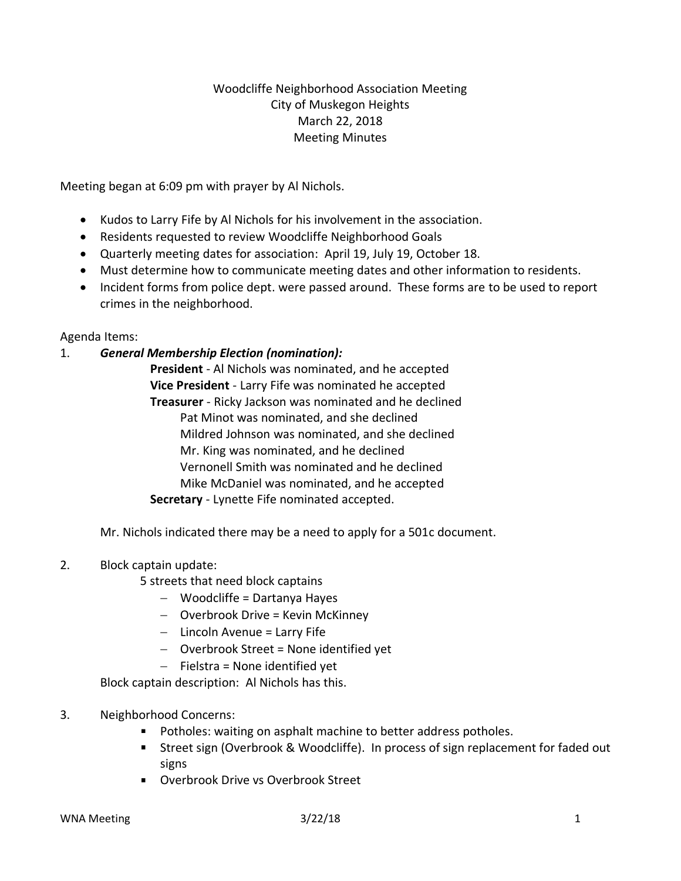# Woodcliffe Neighborhood Association Meeting City of Muskegon Heights March 22, 2018 Meeting Minutes

Meeting began at 6:09 pm with prayer by Al Nichols.

- Kudos to Larry Fife by Al Nichols for his involvement in the association.
- Residents requested to review Woodcliffe Neighborhood Goals
- Quarterly meeting dates for association: April 19, July 19, October 18.
- Must determine how to communicate meeting dates and other information to residents.
- Incident forms from police dept. were passed around. These forms are to be used to report crimes in the neighborhood.

### Agenda Items:

#### 1. *General Membership Election (nomination):*

**President** - Al Nichols was nominated, and he accepted **Vice President** - Larry Fife was nominated he accepted **Treasurer** - Ricky Jackson was nominated and he declined Pat Minot was nominated, and she declined Mildred Johnson was nominated, and she declined Mr. King was nominated, and he declined Vernonell Smith was nominated and he declined Mike McDaniel was nominated, and he accepted **Secretary** - Lynette Fife nominated accepted.

Mr. Nichols indicated there may be a need to apply for a 501c document.

### 2. Block captain update:

- 5 streets that need block captains
	- − Woodcliffe = Dartanya Hayes
	- − Overbrook Drive = Kevin McKinney
	- − Lincoln Avenue = Larry Fife
	- − Overbrook Street = None identified yet
	- − Fielstra = None identified yet

Block captain description: Al Nichols has this.

### 3. Neighborhood Concerns:

- Potholes: waiting on asphalt machine to better address potholes.
- Street sign (Overbrook & Woodcliffe). In process of sign replacement for faded out signs
- Overbrook Drive vs Overbrook Street